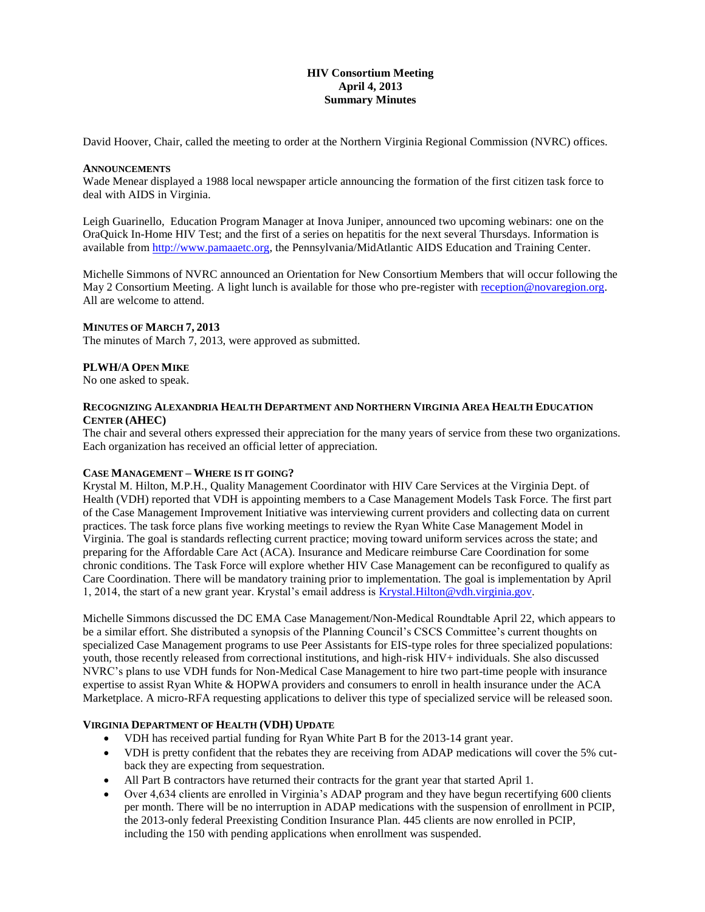# **HIV Consortium Meeting April 4, 2013 Summary Minutes**

David Hoover, Chair, called the meeting to order at the Northern Virginia Regional Commission (NVRC) offices.

#### **ANNOUNCEMENTS**

Wade Menear displayed a 1988 local newspaper article announcing the formation of the first citizen task force to deal with AIDS in Virginia.

Leigh Guarinello, Education Program Manager at Inova Juniper, announced two upcoming webinars: one on the OraQuick In-Home HIV Test; and the first of a series on hepatitis for the next several Thursdays. Information is available fro[m http://www.pamaaetc.org,](http://www.pamaaetc.org/) the Pennsylvania/MidAtlantic AIDS Education and Training Center.

Michelle Simmons of NVRC announced an Orientation for New Consortium Members that will occur following the May 2 Consortium Meeting. A light lunch is available for those who pre-register with [reception@novaregion.org.](mailto:reception@novaregion.org) All are welcome to attend.

#### **MINUTES OF MARCH 7, 2013**

The minutes of March 7, 2013, were approved as submitted.

### **PLWH/A OPEN MIKE**

No one asked to speak.

#### **RECOGNIZING ALEXANDRIA HEALTH DEPARTMENT AND NORTHERN VIRGINIA AREA HEALTH EDUCATION CENTER (AHEC)**

The chair and several others expressed their appreciation for the many years of service from these two organizations. Each organization has received an official letter of appreciation.

#### **CASE MANAGEMENT – WHERE IS IT GOING?**

Krystal M. Hilton, M.P.H., Quality Management Coordinator with HIV Care Services at the Virginia Dept. of Health (VDH) reported that VDH is appointing members to a Case Management Models Task Force. The first part of the Case Management Improvement Initiative was interviewing current providers and collecting data on current practices. The task force plans five working meetings to review the Ryan White Case Management Model in Virginia. The goal is standards reflecting current practice; moving toward uniform services across the state; and preparing for the Affordable Care Act (ACA). Insurance and Medicare reimburse Care Coordination for some chronic conditions. The Task Force will explore whether HIV Case Management can be reconfigured to qualify as Care Coordination. There will be mandatory training prior to implementation. The goal is implementation by April 1, 2014, the start of a new grant year. Krystal's email address is [Krystal.Hilton@vdh.virginia.gov.](mailto:Krystal.Hilton@vdh.virginia.gov)

Michelle Simmons discussed the DC EMA Case Management/Non-Medical Roundtable April 22, which appears to be a similar effort. She distributed a synopsis of the Planning Council's CSCS Committee's current thoughts on specialized Case Management programs to use Peer Assistants for EIS-type roles for three specialized populations: youth, those recently released from correctional institutions, and high-risk HIV+ individuals. She also discussed NVRC's plans to use VDH funds for Non-Medical Case Management to hire two part-time people with insurance expertise to assist Ryan White & HOPWA providers and consumers to enroll in health insurance under the ACA Marketplace. A micro-RFA requesting applications to deliver this type of specialized service will be released soon.

### **VIRGINIA DEPARTMENT OF HEALTH (VDH) UPDATE**

- VDH has received partial funding for Ryan White Part B for the 2013-14 grant year.
- VDH is pretty confident that the rebates they are receiving from ADAP medications will cover the 5% cutback they are expecting from sequestration.
- All Part B contractors have returned their contracts for the grant year that started April 1.
- Over 4,634 clients are enrolled in Virginia's ADAP program and they have begun recertifying 600 clients per month. There will be no interruption in ADAP medications with the suspension of enrollment in PCIP, the 2013-only federal Preexisting Condition Insurance Plan. 445 clients are now enrolled in PCIP, including the 150 with pending applications when enrollment was suspended.